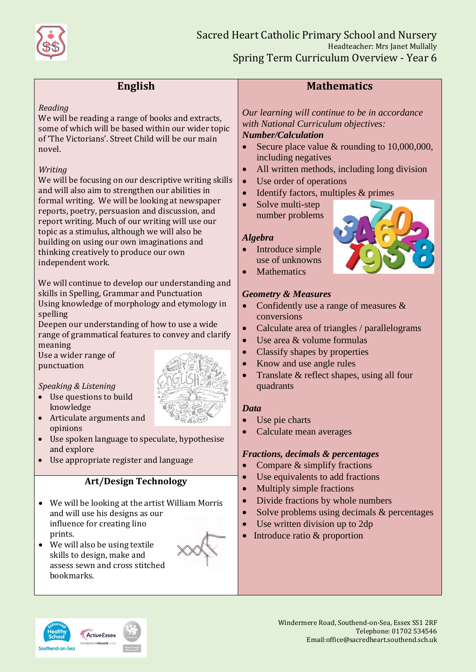

# **English**

#### *Reading*

We will be reading a range of books and extracts, some of which will be based within our wider topic of 'The Victorians'. Street Child will be our main novel.

#### *Writing*

We will be focusing on our descriptive writing skills and will also aim to strengthen our abilities in formal writing. We will be looking at newspaper reports, poetry, persuasion and discussion, and report writing. Much of our writing will use our topic as a stimulus, although we will also be building on using our own imaginations and thinking creatively to produce our own independent work.

We will continue to develop our understanding and skills in Spelling, Grammar and Punctuation Using knowledge of morphology and etymology in spelling

Deepen our understanding of how to use a wide range of grammatical features to convey and clarify meaning

Use a wider range of punctuation

### *Speaking & Listening*

- Use questions to build knowledge
- Articulate arguments and opinions
- Use spoken language to speculate, hypothesise and explore
- Use appropriate register and language

### **Art/Design Technology**

- We will be looking at the artist William Morris and will use his designs as our influence for creating lino prints.
- We will also be using textile skills to design, make and assess sewn and cross stitched bookmarks.



# **Mathematics**

*Our learning will continue to be in accordance with National Curriculum objectives: Number/Calculation*

- Secure place value  $\&$  rounding to 10,000,000, including negatives
- All written methods, including long division
- Use order of operations
- Identify factors, multiples & primes
- Solve multi-step number problems

#### *Algebra*

- Introduce simple use of unknowns
- Mathematics

#### *Geometry & Measures*

- Confidently use a range of measures & conversions
- Calculate area of triangles / parallelograms
- Use area & volume formulas
- Classify shapes by properties
- Know and use angle rules
- Translate & reflect shapes, using all four quadrants

#### *Data*

- Use pie charts
- Calculate mean averages

#### *Fractions, decimals & percentages*

- Compare  $&$  simplify fractions
- Use equivalents to add fractions
- Multiply simple fractions
- Divide fractions by whole numbers
- Solve problems using decimals & percentages
- Use written division up to 2dp
- $\bullet$  Introduce ratio & proportion



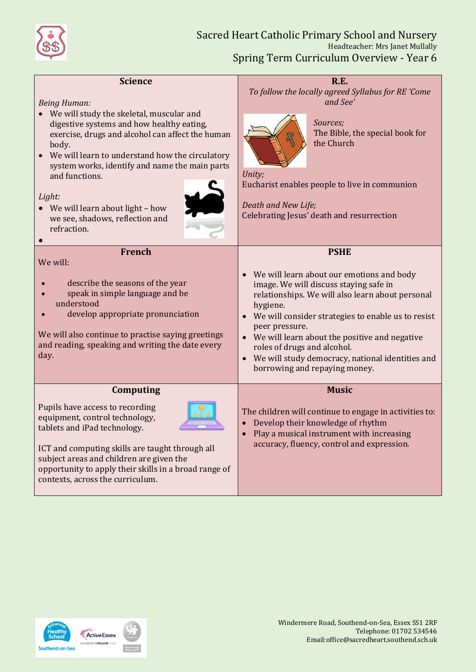

| <b>Science</b><br><b>Being Human:</b><br>• We will study the skeletal, muscular and<br>digestive systems and how healthy eating,<br>exercise, drugs and alcohol can affect the human<br>body.<br>We will learn to understand how the circulatory<br>system works, identify and name the main parts<br>and functions.<br>Light:<br>• We will learn about light - how<br>we see, shadows, reflection and<br>refraction. | <b>R.E.</b><br>To follow the locally agreed Syllabus for RE 'Come<br>and See'<br>Sources:<br>The Bible, the special book for<br>the Church<br>Unity;<br>Eucharist enables people to live in communion<br>Death and New Life;<br>Celebrating Jesus' death and resurrection                                                                                                                                                                                           |
|-----------------------------------------------------------------------------------------------------------------------------------------------------------------------------------------------------------------------------------------------------------------------------------------------------------------------------------------------------------------------------------------------------------------------|---------------------------------------------------------------------------------------------------------------------------------------------------------------------------------------------------------------------------------------------------------------------------------------------------------------------------------------------------------------------------------------------------------------------------------------------------------------------|
| <b>French</b><br>We will:<br>describe the seasons of the year<br>speak in simple language and be<br>understood<br>develop appropriate pronunciation<br>We will also continue to practise saying greetings<br>and reading, speaking and writing the date every<br>day.                                                                                                                                                 | <b>PSHE</b><br>We will learn about our emotions and body<br>$\bullet$<br>image. We will discuss staying safe in<br>relationships. We will also learn about personal<br>hygiene.<br>We will consider strategies to enable us to resist<br>$\bullet$<br>peer pressure.<br>We will learn about the positive and negative<br>$\bullet$<br>roles of drugs and alcohol.<br>We will study democracy, national identities and<br>$\bullet$<br>borrowing and repaying money. |
| Computing<br>Pupils have access to recording<br>equipment, control technology,<br>tablets and iPad technology.<br>ICT and computing skills are taught through all<br>subject areas and children are given the<br>opportunity to apply their skills in a broad range of<br>contexts, across the curriculum.                                                                                                            | <b>Music</b><br>The children will continue to engage in activities to:<br>Develop their knowledge of rhythm<br>$\bullet$<br>Play a musical instrument with increasing<br>$\bullet$<br>accuracy, fluency, control and expression.                                                                                                                                                                                                                                    |